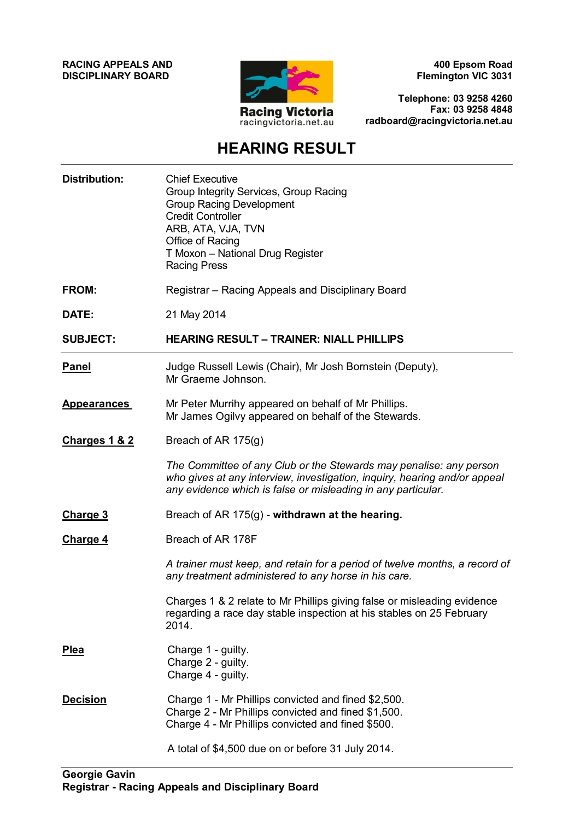**RACING APPEALS AND DISCIPLINARY BOARD**



**400 Epsom Road Flemington VIC 3031**

**Telephone: 03 9258 4260 Fax: 03 9258 4848 radboard@racingvictoria.net.au**

## **HEARING RESULT**

| <b>Distribution:</b> | <b>Chief Executive</b><br>Group Integrity Services, Group Racing<br><b>Group Racing Development</b><br><b>Credit Controller</b><br>ARB, ATA, VJA, TVN<br>Office of Racing<br>T Moxon - National Drug Register<br><b>Racing Press</b> |
|----------------------|--------------------------------------------------------------------------------------------------------------------------------------------------------------------------------------------------------------------------------------|
| <b>FROM:</b>         | Registrar – Racing Appeals and Disciplinary Board                                                                                                                                                                                    |
| DATE:                | 21 May 2014                                                                                                                                                                                                                          |
| <b>SUBJECT:</b>      | <b>HEARING RESULT - TRAINER: NIALL PHILLIPS</b>                                                                                                                                                                                      |
| <b>Panel</b>         | Judge Russell Lewis (Chair), Mr Josh Bornstein (Deputy),<br>Mr Graeme Johnson.                                                                                                                                                       |
| <b>Appearances</b>   | Mr Peter Murrihy appeared on behalf of Mr Phillips.<br>Mr James Ogilvy appeared on behalf of the Stewards.                                                                                                                           |
| Charges 1 & 2        | Breach of AR 175(g)                                                                                                                                                                                                                  |
|                      | The Committee of any Club or the Stewards may penalise: any person<br>who gives at any interview, investigation, inquiry, hearing and/or appeal<br>any evidence which is false or misleading in any particular.                      |
| Charge 3             | Breach of AR 175(g) - withdrawn at the hearing.                                                                                                                                                                                      |
| <b>Charge 4</b>      | Breach of AR 178F                                                                                                                                                                                                                    |
|                      | A trainer must keep, and retain for a period of twelve months, a record of<br>any treatment administered to any horse in his care.                                                                                                   |
|                      | Charges 1 & 2 relate to Mr Phillips giving false or misleading evidence<br>regarding a race day stable inspection at his stables on 25 February<br>2014.                                                                             |
| <b>Plea</b>          | Charge 1 - guilty.<br>Charge 2 - guilty.<br>Charge 4 - guilty.                                                                                                                                                                       |
| <b>Decision</b>      | Charge 1 - Mr Phillips convicted and fined \$2,500.<br>Charge 2 - Mr Phillips convicted and fined \$1,500.<br>Charge 4 - Mr Phillips convicted and fined \$500.                                                                      |
|                      | A total of \$4,500 due on or before 31 July 2014.                                                                                                                                                                                    |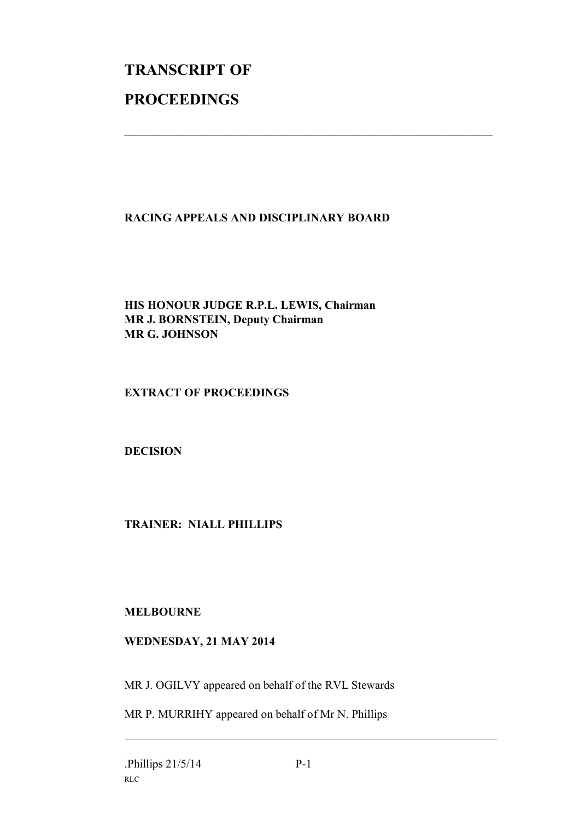# **TRANSCRIPT OF PROCEEDINGS**

### **RACING APPEALS AND DISCIPLINARY BOARD**

 $\mathcal{L}_\text{max}$  , and the contribution of the contribution of the contribution of the contribution of the contribution of the contribution of the contribution of the contribution of the contribution of the contribution of t

#### **HIS HONOUR JUDGE R.P.L. LEWIS, Chairman MR J. BORNSTEIN, Deputy Chairman MR G. JOHNSON**

#### **EXTRACT OF PROCEEDINGS**

#### **DECISION**

#### **TRAINER: NIALL PHILLIPS**

#### **MELBOURNE**

#### **WEDNESDAY, 21 MAY 2014**

MR J. OGILVY appeared on behalf of the RVL Stewards

MR P. MURRIHY appeared on behalf of Mr N. Phillips